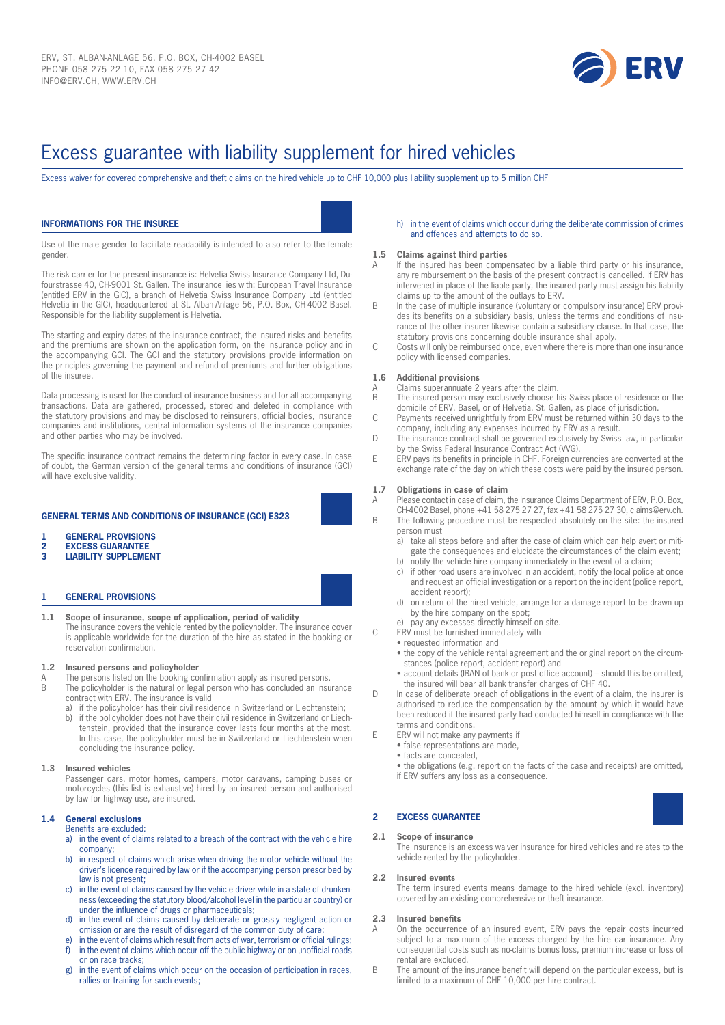

# Excess guarantee with liability supplement for hired vehicles

Excess waiver for covered comprehensive and theft claims on the hired vehicle up to CHF 10,000 plus liability supplement up to 5 million CHF

## **INFORMATIONS FOR THE INSUREE**

Use of the male gender to facilitate readability is intended to also refer to the female gender.

The risk carrier for the present insurance is: Helvetia Swiss Insurance Company Ltd, Dufourstrasse 40, CH-9001 St. Gallen. The insurance lies with: European Travel Insurance (entitled ERV in the GIC), a branch of Helvetia Swiss Insurance Company Ltd (entitled Helvetia in the GIC), headquartered at St. Alban-Anlage 56, P.O. Box, CH-4002 Basel. Responsible for the liability supplement is Helvetia.

The starting and expiry dates of the insurance contract, the insured risks and benefits and the premiums are shown on the application form, on the insurance policy and in the accompanying GCI. The GCI and the statutory provisions provide information on the principles governing the payment and refund of premiums and further obligations of the insuree.

Data processing is used for the conduct of insurance business and for all accompanying transactions. Data are gathered, processed, stored and deleted in compliance with the statutory provisions and may be disclosed to reinsurers, official bodies, insurance companies and institutions, central information systems of the insurance companies and other parties who may be involved.

The specific insurance contract remains the determining factor in every case. In case of doubt, the German version of the general terms and conditions of insurance (GCI) will have exclusive validity.

## **GENERAL TERMS AND CONDITIONS OF INSURANCE (GCI) E323**

- **1 GENERAL PROVISIONS**
- **2 EXCESS GUARANTEE**
- **3 LIABILITY SUPPLEMENT**

#### **1 GENERAL PROVISIONS**

**1.1 Scope of insurance, scope of application, period of validity** The insurance covers the vehicle rented by the policyholder. The insurance cover is applicable worldwide for the duration of the hire as stated in the booking or reservation confirmation.

#### **1.2 Insured persons and policyholder**

- A The persons listed on the booking confirmation apply as insured persons.<br>B The policyholder is the natural or legal person who has concluded an insu
- The policyholder is the natural or legal person who has concluded an insurance contract with ERV. The insurance is valid
	- a) if the policyholder has their civil residence in Switzerland or Liechtenstein; b) if the policyholder does not have their civil residence in Switzerland or Liech
		- tenstein, provided that the insurance cover lasts four months at the most. In this case, the policyholder must be in Switzerland or Liechtenstein when concluding the insurance policy.

#### **1.3 Insured vehicles**

Passenger cars, motor homes, campers, motor caravans, camping buses or motorcycles (this list is exhaustive) hired by an insured person and authorised by law for highway use, are insured.

## **1.4 General exclusions**

- Benefits are excluded: a) in the event of claims related to a breach of the contract with the vehicle hire company;
- b) in respect of claims which arise when driving the motor vehicle without the driver's licence required by law or if the accompanying person prescribed by law is not present:
- c) in the event of claims caused by the vehicle driver while in a state of drunkenness (exceeding the statutory blood/alcohol level in the particular country) or under the influence of drugs or pharmaceuticals;
- d) in the event of claims caused by deliberate or grossly negligent action or omission or are the result of disregard of the common duty of care;
- in the event of claims which result from acts of war, terrorism or official rulings; in the event of claims which occur off the public highway or on unofficial roads or on race tracks;
- g) in the event of claims which occur on the occasion of participation in races, rallies or training for such events;

#### h) in the event of claims which occur during the deliberate commission of crimes and offences and attempts to do so.

#### **1.5 Claims against third parties**

- If the insured has been compensated by a liable third party or his insurance, any reimbursement on the basis of the present contract is cancelled. If ERV has intervened in place of the liable party, the insured party must assign his liability claims up to the amount of the outlays to ERV.
- B In the case of multiple insurance (voluntary or compulsory insurance) ERV provides its benefits on a subsidiary basis, unless the terms and conditions of insurance of the other insurer likewise contain a subsidiary clause. In that case, the statutory provisions concerning double insurance shall apply.
- C Costs will only be reimbursed once, even where there is more than one insurance policy with licensed companies.

#### **1.6 Additional provisions**

- A Claims superannuate 2 years after the claim.<br>B The insured person may exclusively choose i
- The insured person may exclusively choose his Swiss place of residence or the domicile of ERV, Basel, or of Helvetia, St. Gallen, as place of jurisdiction.
- C Payments received unrightfully from ERV must be returned within 30 days to the company, including any expenses incurred by ERV as a result.
- D The insurance contract shall be governed exclusively by Swiss law, in particular by the Swiss Federal Insurance Contract Act (VVG).
- E ERV pays its benefits in principle in CHF. Foreign currencies are converted at the exchange rate of the day on which these costs were paid by the insured person.

#### **1.7 Obligations in case of claim**

A Please contact in case of claim, the Insurance Claims Department of ERV, P.O. Box, CH-4002 Basel, phone +41 58 275 27 27, fax +41 58 275 27 30, claims@erv.ch.

- B The following procedure must be respected absolutely on the site: the insured person must
	- a) take all steps before and after the case of claim which can help avert or mitigate the consequences and elucidate the circumstances of the claim event;
	- b) notify the vehicle hire company immediately in the event of a claim;
	- c) if other road users are involved in an accident, notify the local police at once and request an official investigation or a report on the incident (police report, accident report);
	- d) on return of the hired vehicle, arrange for a damage report to be drawn up by the hire company on the spot;
	- e) pay any excesses directly himself on site.
- C ERV must be furnished immediately with
	- requested information and
	- the copy of the vehicle rental agreement and the original report on the circumstances (police report, accident report) and
	- account details (IBAN of bank or post office account) should this be omitted, the insured will bear all bank transfer charges of CHF 40.
- D In case of deliberate breach of obligations in the event of a claim, the insurer is authorised to reduce the compensation by the amount by which it would have been reduced if the insured party had conducted himself in compliance with the terms and conditions.
- E ERV will not make any payments if
	- false representations are made,
	- facts are concealed,

• the obligations (e.g. report on the facts of the case and receipts) are omitted, if ERV suffers any loss as a consequence.

## **2 EXCESS GUARANTEE**

**2.1 Scope of insurance** The insurance is an excess waiver insurance for hired vehicles and relates to the vehicle rented by the policyholder.

#### **2.2 Insured events**

The term insured events means damage to the hired vehicle (excl. inventory) covered by an existing comprehensive or theft insurance.

## **2.3 Insured benefits**

- On the occurrence of an insured event, ERV pays the repair costs incurred subject to a maximum of the excess charged by the hire car insurance. Any consequential costs such as no-claims bonus loss, premium increase or loss of rental are excluded.
- B The amount of the insurance benefit will depend on the particular excess, but is limited to a maximum of CHF 10,000 per hire contract.